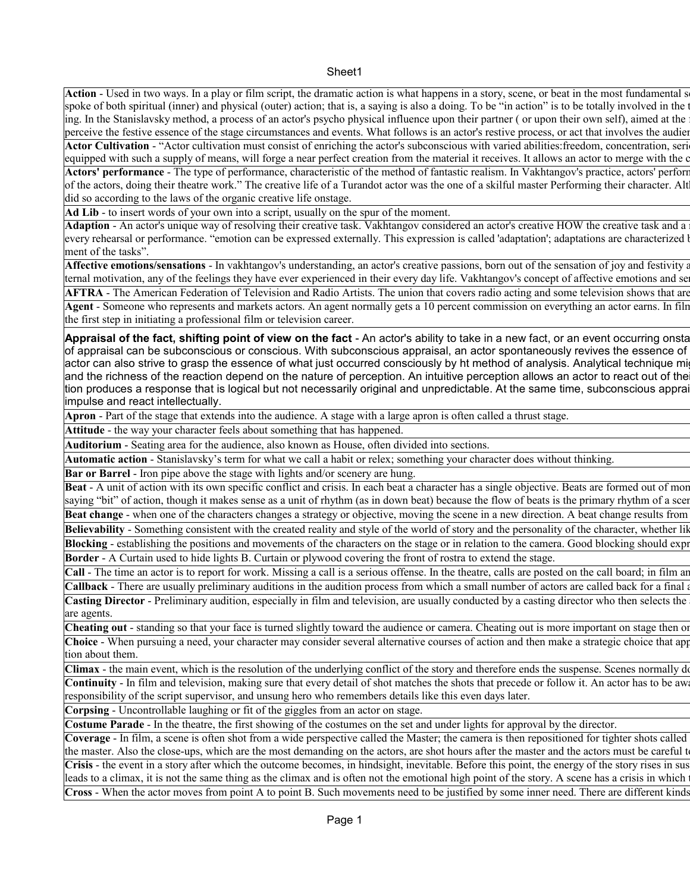Action - Used in two ways. In a play or film script, the dramatic action is what happens in a story, scene, or beat in the most fundamental s spoke of both spiritual (inner) and physical (outer) action; that is, a saying is also a doing. To be "in action" is to be totally involved in the ing. In the Stanislavsky method, a process of an actor's psycho physical influence upon their partner (or upon their own self), aimed at the perceive the festive essence of the stage circumstances and events. What follows is an actor's restive process, or act that involves the audience Actor Cultivation - "Actor cultivation must consist of enriching the actor's subconscious with varied abilities: freedom, concentration, seri equipped with such a supply of means, will forge a near perfect creation from the material it receives. It allows an actor to merge with the c Actors' performance - The type of performance, characteristic of the method of fantastic realism. In Vakhtangov's practice, actors' perform of the actors, doing their theatre work." The creative life of a Turandot actor was the one of a skilful master Performing their character. Alt did so according to the laws of the organic creative life onstage.

**Ad Lib** - to insert words of your own into a script, usually on the spur of the moment.

Adaption - An actor's unique way of resolving their creative task. Vakhtangov considered an actor's creative HOW the creative task and a every rehearsal or performance. "emotion can be expressed externally. This expression is called 'adaptation'; adaptations are characterized l ment of the tasks".

Affective emotions/sensations - In vakhtangov's understanding, an actor's creative passions, born out of the sensation of joy and festivity and ternal motivation, any of the feelings they have ever experienced in their every day life. Vakhtangov's concept of affective emotions and se

**AFTRA** - The American Federation of Television and Radio Artists. The union that covers radio acting and some television shows that are Agent - Someone who represents and markets actors. An agent normally gets a 10 percent commission on everything an actor earns. In film the first step in initiating a professional film or television career.

Appraisal of the fact, shifting point of view on the fact - An actor's ability to take in a new fact, or an event occurring onsta of appraisal can be subconscious or conscious. With subconscious appraisal, an actor spontaneously revives the essence of actor can also strive to grasp the essence of what just occurred consciously by ht method of analysis. Analytical technique mi and the richness of the reaction depend on the nature of perception. An intuitive perception allows an actor to react out of the tion produces a response that is logical but not necessarily original and unpredictable. At the same time, subconscious apprai impulse and react intellectually.

**Apron** - Part of the stage that extends into the audience. A stage with a large apron is often called a thrust stage.

**Attitude** - the way your character feels about something that has happened.

**Auditorium** - Seating area for the audience, also known as House, often divided into sections.

**Automatic action** - Stanislavsky's term for what we call a habit or relex; something your character does without thinking.

**Bar or Barrel** - Iron pipe above the stage with lights and/or scenery are hung.

Beat - A unit of action with its own specific conflict and crisis. In each beat a character has a single objective. Beats are formed out of more saying "bit" of action, though it makes sense as a unit of rhythm (as in down beat) because the flow of beats is the primary rhythm of a scene. Beat change - when one of the characters changes a strategy or objective, moving the scene in a new direction. A beat change results from

**Believability** - Something consistent with the created reality and style of the world of story and the personality of the character, whether like **Blocking** - establishing the positions and movements of the characters on the stage or in relation to the camera. Good blocking should express **Border** - A Curtain used to hide lights B. Curtain or plywood covering the front of rostra to extend the stage.

Call - The time an actor is to report for work. Missing a call is a serious offense. In the theatre, calls are posted on the call board; in film are Callback - There are usually preliminary auditions in the audition process from which a small number of actors are called back for a final a Casting Director - Preliminary audition, especially in film and television, are usually conducted by a casting director who then selects the are agents.

Cheating out - standing so that your face is turned slightly toward the audience or camera. Cheating out is more important on stage then on Choice - When pursuing a need, your character may consider several alternative courses of action and then make a strategic choice that app tion about them.

Climax - the main event, which is the resolution of the underlying conflict of the story and therefore ends the suspense. Scenes normally de **Continuity** - In film and television, making sure that every detail of shot matches the shots that precede or follow it. An actor has to be aw responsibility of the script supervisor, and unsung hero who remembers details like this even days later.

**Corpsing** - Uncontrollable laughing or fit of the giggles from an actor on stage.

**Costume Parade** - In the theatre, the first showing of the costumes on the set and under lights for approval by the director.

Coverage - In film, a scene is often shot from a wide perspective called the Master; the camera is then repositioned for tighter shots called the master. Also the close-ups, which are the most demanding on the actors, are shot hours after the master and the actors must be careful t Crisis - the event in a story after which the outcome becomes, in hindsight, inevitable. Before this point, the energy of the story rises in sus leads to a climax, it is not the same thing as the climax and is often not the emotional high point of the story. A scene has a crisis in which Cross - When the actor moves from point A to point B. Such movements need to be justified by some inner need. There are different kinds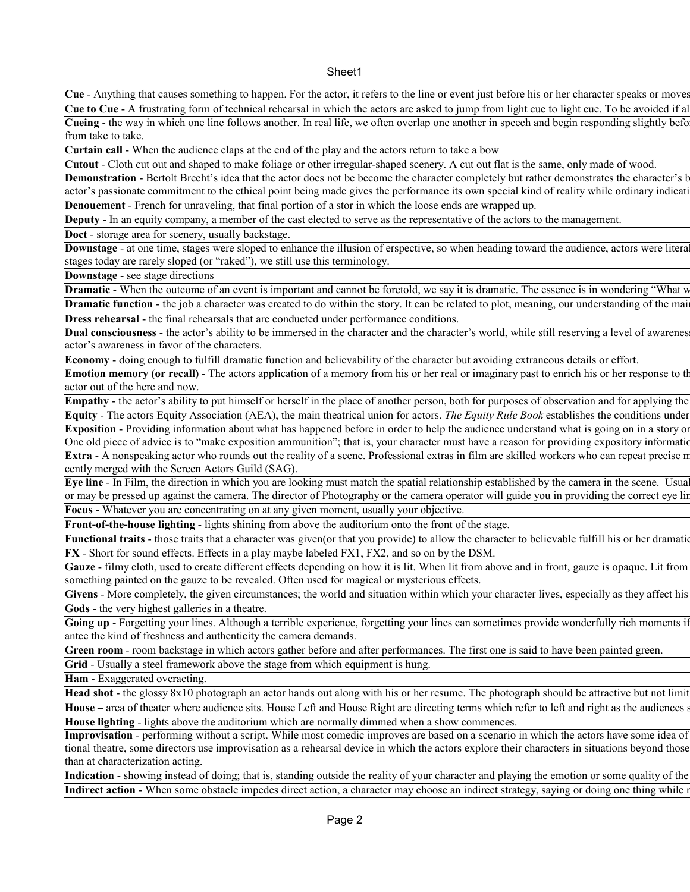## Sheet1

**Cue** - Anything that causes something to happen. For the actor, it refers to the line or event just before his or her character speaks or moves. Cue to Cue - A frustrating form of technical rehearsal in which the actors are asked to jump from light cue to light cue. To be avoided if all Cueing - the way in which one line follows another. In real life, we often overlap one another in speech and begin responding slightly befo from take to take.

**Curtain call** - When the audience claps at the end of the play and the actors return to take a bow

**Cutout** - Cloth cut out and shaped to make foliage or other irregular-shaped scenery. A cut out flat is the same, only made of wood. Demonstration - Bertolt Brecht's idea that the actor does not be become the character completely but rather demonstrates the character's b actor's passionate commitment to the ethical point being made gives the performance its own special kind of reality while ordinary indicati

**Denouement** - French for unraveling, that final portion of a stor in which the loose ends are wrapped up.

**Deputy** - In an equity company, a member of the cast elected to serve as the representative of the actors to the management.

**Doct** - storage area for scenery, usually backstage.

Downstage - at one time, stages were sloped to enhance the illusion of erspective, so when heading toward the audience, actors were litera stages today are rarely sloped (or "raked"), we still use this terminology.

**Downstage** - see stage directions

**Dramatic** - When the outcome of an event is important and cannot be foretold, we say it is dramatic. The essence is in wondering "What w

**Dramatic function** - the job a character was created to do within the story. It can be related to plot, meaning, our understanding of the mai **Dress rehearsal** - the final rehearsals that are conducted under performance conditions.

**Dual consciousness** - the actor's ability to be immersed in the character and the character's world, while still reserving a level of awarenes actor's awareness in favor of the characters.

**Economy** - doing enough to fulfill dramatic function and believability of the character but avoiding extraneous details or effort.

**Emotion memory (or recall)** - The actors application of a memory from his or her real or imaginary past to enrich his or her response to the actor out of the here and now.

**Empathy** - the actor's ability to put himself or herself in the place of another person, both for purposes of observation and for applying the

Equity - The actors Equity Association (AEA), the main theatrical union for actors. The Equity Rule Book establishes the conditions under **Exposition** - Providing information about what has happened before in order to help the audience understand what is going on in a story of One old piece of advice is to "make exposition ammunition"; that is, your character must have a reason for providing expository information Extra - A nonspeaking actor who rounds out the reality of a scene. Professional extras in film are skilled workers who can repeat precise n cently merged with the Screen Actors Guild (SAG).

Eye line - In Film, the direction in which you are looking must match the spatial relationship established by the camera in the scene. Usual or may be pressed up against the camera. The director of Photography or the camera operator will guide you in providing the correct eye line. **Focus** - Whatever you are concentrating on at any given moment, usually your objective.

**Front-of-the-house lighting** - lights shining from above the auditorium onto the front of the stage.

Functional traits - those traits that a character was given(or that you provide) to allow the character to believable fulfill his or her dramatic **FX** - Short for sound effects. Effects in a play maybe labeled FX1, FX2, and so on by the DSM.

Gauze - filmy cloth, used to create different effects depending on how it is lit. When lit from above and in front, gauze is opaque. Lit from something painted on the gauze to be revealed. Often used for magical or mysterious effects.

Givens - More completely, the given circumstances; the world and situation within which your character lives, especially as they affect his **Gods** - the very highest galleries in a theatre.

Going up - Forgetting your lines. Although a terrible experience, forgetting your lines can sometimes provide wonderfully rich moments if antee the kind of freshness and authenticity the camera demands.

**Green room** - room backstage in which actors gather before and after performances. The first one is said to have been painted green.

**Grid** - Usually a steel framework above the stage from which equipment is hung.

**Ham** - Exaggerated overacting.

Head shot - the glossy 8x10 photograph an actor hands out along with his or her resume. The photograph should be attractive but not limit **House** – area of theater where audience sits. House Left and House Right are directing terms which refer to left and right as the audiences see **House lighting** - lights above the auditorium which are normally dimmed when a show commences.

Improvisation - performing without a script. While most comedic improves are based on a scenario in which the actors have some idea of tional theatre, some directors use improvisation as a rehearsal device in which the actors explore their characters in situations beyond those than at characterization acting.

**Indication** - showing instead of doing; that is, standing outside the reality of your character and playing the emotion or some quality of the Indirect action - When some obstacle impedes direct action, a character may choose an indirect strategy, saying or doing one thing while a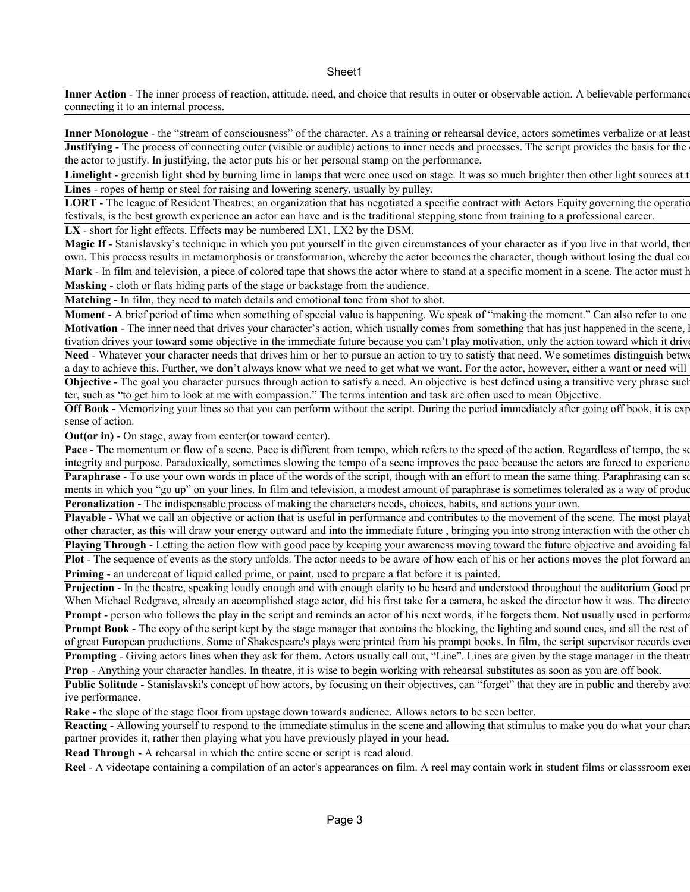## Sheet1

Inner Action - The inner process of reaction, attitude, need, and choice that results in outer or observable action. A believable performance connecting it to an internal process.

**Inner Monologue** - the "stream of consciousness" of the character. As a training or rehearsal device, actors sometimes verbalize or at least Justifying - The process of connecting outer (visible or audible) actions to inner needs and processes. The script provides the basis for the the actor to justify. In justifying, the actor puts his or her personal stamp on the performance.

**Limelight** - greenish light shed by burning lime in lamps that were once used on stage. It was so much brighter then other light sources at t **Lines** - ropes of hemp or steel for raising and lowering scenery, usually by pulley.

LORT - The league of Resident Theatres; an organization that has negotiated a specific contract with Actors Equity governing the operation festivals, is the best growth experience an actor can have and is the traditional stepping stone from training to a professional career.

**LX** - short for light effects. Effects may be numbered LX1, LX2 by the DSM.

Magic If - Stanislavsky's technique in which you put yourself in the given circumstances of your character as if you live in that world, then own. This process results in metamorphosis or transformation, whereby the actor becomes the character, though without losing the dual conservations. Mark - In film and television, a piece of colored tape that shows the actor where to stand at a specific moment in a scene. The actor must h **Masking** - cloth or flats hiding parts of the stage or backstage from the audience.

**Matching** - In film, they need to match details and emotional tone from shot to shot.

**Moment** - A brief period of time when something of special value is happening. We speak of "making the moment." Can also refer to one Motivation - The inner need that drives your character's action, which usually comes from something that has just happened in the scene, tivation drives your toward some objective in the immediate future because you can't play motivation, only the action toward which it drive Need - Whatever your character needs that drives him or her to pursue an action to try to satisfy that need. We sometimes distinguish between a day to achieve this. Further, we don't always know what we need to get what we want. For the actor, however, either a want or need will

Objective - The goal you character pursues through action to satisfy a need. An objective is best defined using a transitive very phrase such ter, such as "to get him to look at me with compassion." The terms intention and task are often used to mean Objective.

Off Book - Memorizing your lines so that you can perform without the script. During the period immediately after going off book, it is exp sense of action.

**Out(or in)** - On stage, away from center(or toward center).

Pace - The momentum or flow of a scene. Pace is different from tempo, which refers to the speed of the action. Regardless of tempo, the se integrity and purpose. Paradoxically, sometimes slowing the tempo of a scene improves the pace because the actors are forced to experience Paraphrase - To use your own words in place of the words of the script, though with an effort to mean the same thing. Paraphrasing can so ments in which you "go up" on your lines. In film and television, a modest amount of paraphrase is sometimes tolerated as a way of produc **Peronalization** - The indispensable process of making the characters needs, choices, habits, and actions your own.

**Playable** - What we call an objective or action that is useful in performance and contributes to the movement of the scene. The most playal other character, as this will draw your energy outward and into the immediate future , bringing you into strong interaction with the other character. Playing Through - Letting the action flow with good pace by keeping your awareness moving toward the future objective and avoiding fa Plot - The sequence of events as the story unfolds. The actor needs to be aware of how each of his or her actions moves the plot forward and

**Priming** - an undercoat of liquid called prime, or paint, used to prepare a flat before it is painted.

Projection - In the theatre, speaking loudly enough and with enough clarity to be heard and understood throughout the auditorium Good pr When Michael Redgrave, already an accomplished stage actor, did his first take for a camera, he asked the director how it was. The directo **Prompt** - person who follows the play in the script and reminds an actor of his next words, if he forgets them. Not usually used in performances, but the script and reminds an actor of his next words, if he forgets them. **Prompt Book** - The copy of the script kept by the stage manager that contains the blocking, the lighting and sound cues, and all the rest of of great European productions. Some of Shakespeare's plays were printed from his prompt books. In film, the script supervisor records eve **Prompting** - Giving actors lines when they ask for them. Actors usually call out, "Line". Lines are given by the stage manager in the theatre

**Prop** - Anything your character handles. In theatre, it is wise to begin working with rehearsal substitutes as soon as you are off book.

Public Solitude - Stanislavski's concept of how actors, by focusing on their objectives, can "forget" that they are in public and thereby avo ive performance.

**Rake** - the slope of the stage floor from upstage down towards audience. Allows actors to be seen better.

**Reacting - Allowing yourself to respond to the immediate stimulus in the scene and allowing that stimulus to make you do what your charanteer** partner provides it, rather then playing what you have previously played in your head.

**Read Through** - A rehearsal in which the entire scene or script is read aloud.

Reel - A videotape containing a compilation of an actor's appearances on film. A reel may contain work in student films or classsroom exe